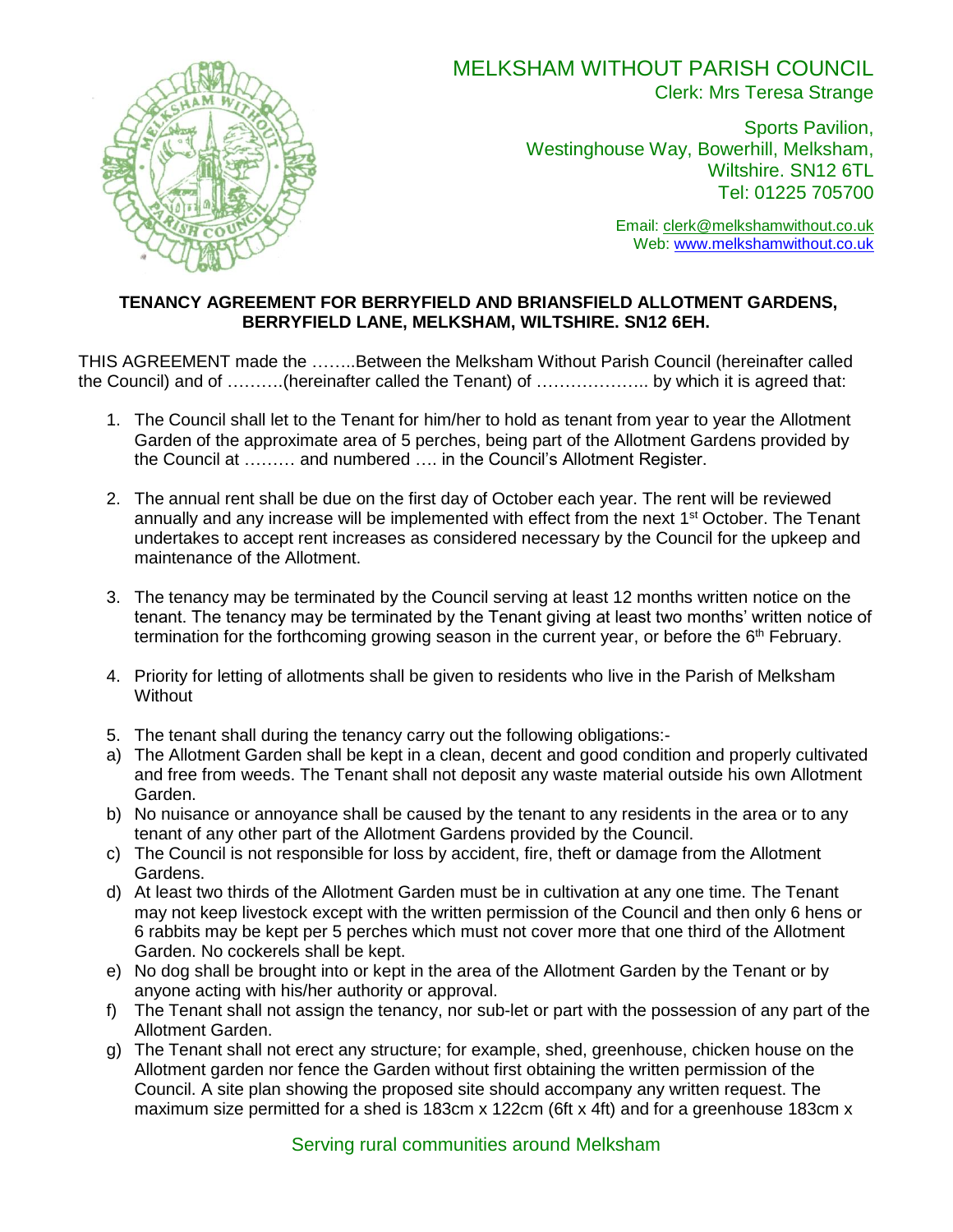

## MELKSHAM WITHOUT PARISH COUNCIL Clerk: Mrs Teresa Strange

Sports Pavilion, Westinghouse Way, Bowerhill, Melksham, Wiltshire. SN12 6TL Tel: 01225 705700

> Email: [clerk@melkshamwithout.co.uk](mailto:clerk@melkshamwithout.co.uk) Web: [www.melkshamwithout.co.uk](http://www.melkshamwithout.co.uk/)

## **TENANCY AGREEMENT FOR BERRYFIELD AND BRIANSFIELD ALLOTMENT GARDENS, BERRYFIELD LANE, MELKSHAM, WILTSHIRE. SN12 6EH.**

THIS AGREEMENT made the ……..Between the Melksham Without Parish Council (hereinafter called the Council) and of ……….(hereinafter called the Tenant) of ……………….. by which it is agreed that:

- 1. The Council shall let to the Tenant for him/her to hold as tenant from year to year the Allotment Garden of the approximate area of 5 perches, being part of the Allotment Gardens provided by the Council at ……… and numbered …. in the Council's Allotment Register.
- 2. The annual rent shall be due on the first day of October each year. The rent will be reviewed annually and any increase will be implemented with effect from the next 1<sup>st</sup> October. The Tenant undertakes to accept rent increases as considered necessary by the Council for the upkeep and maintenance of the Allotment.
- 3. The tenancy may be terminated by the Council serving at least 12 months written notice on the tenant. The tenancy may be terminated by the Tenant giving at least two months' written notice of termination for the forthcoming growing season in the current year, or before the  $6<sup>th</sup>$  February.
- 4. Priority for letting of allotments shall be given to residents who live in the Parish of Melksham **Without**
- 5. The tenant shall during the tenancy carry out the following obligations:-
- a) The Allotment Garden shall be kept in a clean, decent and good condition and properly cultivated and free from weeds. The Tenant shall not deposit any waste material outside his own Allotment Garden.
- b) No nuisance or annoyance shall be caused by the tenant to any residents in the area or to any tenant of any other part of the Allotment Gardens provided by the Council.
- c) The Council is not responsible for loss by accident, fire, theft or damage from the Allotment Gardens.
- d) At least two thirds of the Allotment Garden must be in cultivation at any one time. The Tenant may not keep livestock except with the written permission of the Council and then only 6 hens or 6 rabbits may be kept per 5 perches which must not cover more that one third of the Allotment Garden. No cockerels shall be kept.
- e) No dog shall be brought into or kept in the area of the Allotment Garden by the Tenant or by anyone acting with his/her authority or approval.
- f) The Tenant shall not assign the tenancy, nor sub-let or part with the possession of any part of the Allotment Garden.
- g) The Tenant shall not erect any structure; for example, shed, greenhouse, chicken house on the Allotment garden nor fence the Garden without first obtaining the written permission of the Council. A site plan showing the proposed site should accompany any written request. The maximum size permitted for a shed is 183cm x 122cm (6ft x 4ft) and for a greenhouse 183cm x